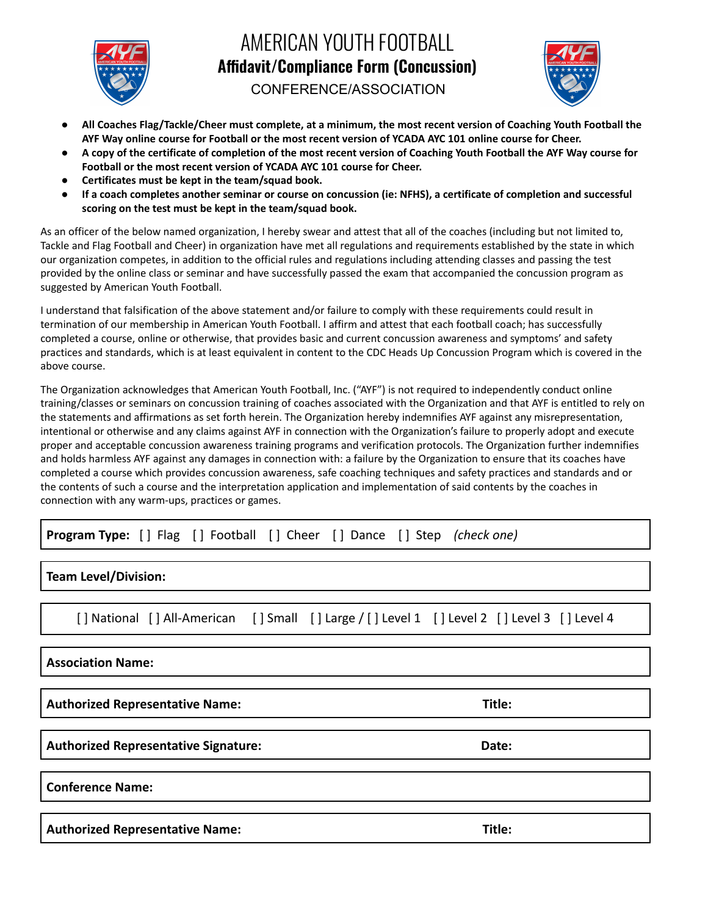

## AMERICAN YOUTH FOOTBALL **Affidavit/Compliance Form (Concussion)**



CONFERENCE/ASSOCIATION

- All Coaches Flag/Tackle/Cheer must complete, at a minimum, the most recent version of Coaching Youth Football the AYF Way online course for Football or the most recent version of YCADA AYC 101 online course for Cheer.
- A copy of the certificate of completion of the most recent version of Coaching Youth Football the AYF Way course for **Football or the most recent version of YCADA AYC 101 course for Cheer.**
- **● Certificates must be kept in the team/squad book.**
- If a coach completes another seminar or course on concussion (ie: NFHS), a certificate of completion and successful **scoring on the test must be kept in the team/squad book.**

As an officer of the below named organization, I hereby swear and attest that all of the coaches (including but not limited to, Tackle and Flag Football and Cheer) in organization have met all regulations and requirements established by the state in which our organization competes, in addition to the official rules and regulations including attending classes and passing the test provided by the online class or seminar and have successfully passed the exam that accompanied the concussion program as suggested by American Youth Football.

I understand that falsification of the above statement and/or failure to comply with these requirements could result in termination of our membership in American Youth Football. I affirm and attest that each football coach; has successfully completed a course, online or otherwise, that provides basic and current concussion awareness and symptoms' and safety practices and standards, which is at least equivalent in content to the CDC Heads Up Concussion Program which is covered in the above course.

The Organization acknowledges that American Youth Football, Inc. ("AYF") is not required to independently conduct online training/classes or seminars on concussion training of coaches associated with the Organization and that AYF is entitled to rely on the statements and affirmations as set forth herein. The Organization hereby indemnifies AYF against any misrepresentation, intentional or otherwise and any claims against AYF in connection with the Organization's failure to properly adopt and execute proper and acceptable concussion awareness training programs and verification protocols. The Organization further indemnifies and holds harmless AYF against any damages in connection with: a failure by the Organization to ensure that its coaches have completed a course which provides concussion awareness, safe coaching techniques and safety practices and standards and or the contents of such a course and the interpretation application and implementation of said contents by the coaches in connection with any warm-ups, practices or games.

**Program Type:** [ ] Flag [ ] Football [ ] Cheer [ ] Dance [ ] Step *(check one)*

**Team Level/Division:**

[] National [] All-American [] Small [] Large / [] Level 1 [] Level 2 [] Level 3 [] Level 4

**Association Name:**

**Authorized Representative Name: Title:**

**Authorized Representative Signature: Date:**

**Conference Name:**

**Authorized Representative Name: Title:**